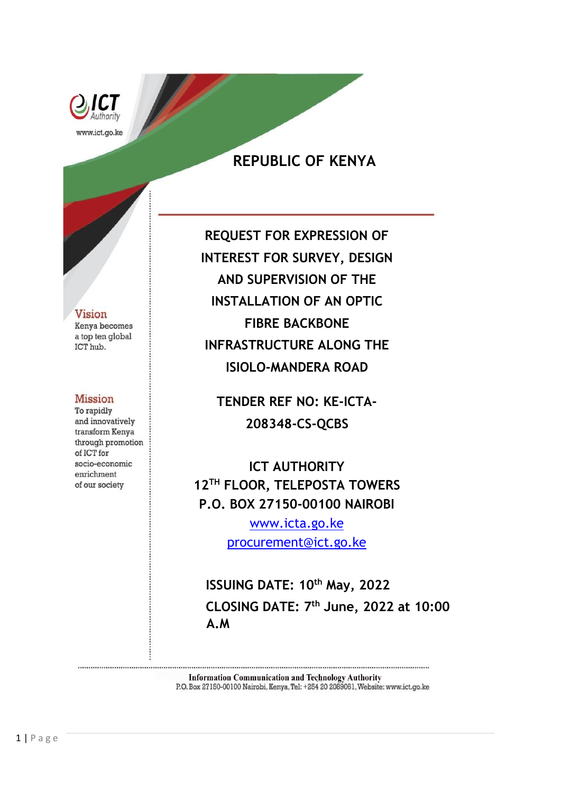

# **REPUBLIC OF KENYA**

#### **Vision**

Kenya becomes a top ten global ICT hub.

#### **Mission**

To rapidly and innovatively transform Kenya through promotion of ICT for socio-economic enrichment of our society

**REQUEST FOR EXPRESSION OF INTEREST FOR SURVEY, DESIGN AND SUPERVISION OF THE INSTALLATION OF AN OPTIC FIBRE BACKBONE INFRASTRUCTURE ALONG THE ISIOLO-MANDERA ROAD** 

**TENDER REF NO: KE-ICTA-208348-CS-QCBS**

**ICT AUTHORITY 12TH FLOOR, TELEPOSTA TOWERS P.O. BOX 27150-00100 NAIROBI**

> [www.icta.go.ke](http://www.icta.go.ke/) [procurement@ict.go.ke](mailto:procurement@ict.go.ke)

**ISSUING DATE: 10th May, 2022 CLOSING DATE: 7 th June, 2022 at 10:00 A.M**

**Information Communication and Technology Authority** P.O. Box 27150-00100 Nairobi, Kenya, Tel: +254 20 2089061, Website: www.ict.go.ke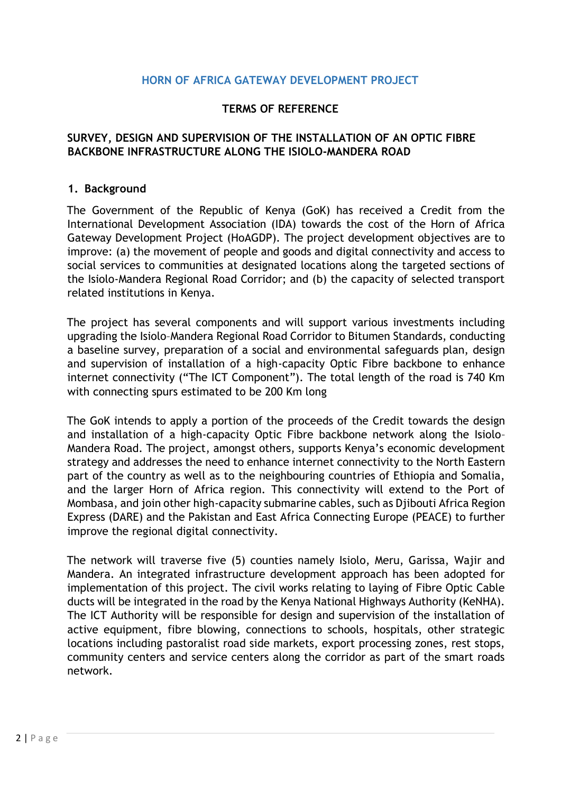#### **HORN OF AFRICA GATEWAY DEVELOPMENT PROJECT**

#### **TERMS OF REFERENCE**

#### **SURVEY, DESIGN AND SUPERVISION OF THE INSTALLATION OF AN OPTIC FIBRE BACKBONE INFRASTRUCTURE ALONG THE ISIOLO-MANDERA ROAD**

#### **1. Background**

The Government of the Republic of Kenya (GoK) has received a Credit from the International Development Association (IDA) towards the cost of the Horn of Africa Gateway Development Project (HoAGDP). The project development objectives are to improve: (a) the movement of people and goods and digital connectivity and access to social services to communities at designated locations along the targeted sections of the Isiolo-Mandera Regional Road Corridor; and (b) the capacity of selected transport related institutions in Kenya.

The project has several components and will support various investments including upgrading the Isiolo–Mandera Regional Road Corridor to Bitumen Standards, conducting a baseline survey, preparation of a social and environmental safeguards plan, design and supervision of installation of a high-capacity Optic Fibre backbone to enhance internet connectivity ("The ICT Component"). The total length of the road is 740 Km with connecting spurs estimated to be 200 Km long

The GoK intends to apply a portion of the proceeds of the Credit towards the design and installation of a high-capacity Optic Fibre backbone network along the Isiolo– Mandera Road. The project, amongst others, supports Kenya's economic development strategy and addresses the need to enhance internet connectivity to the North Eastern part of the country as well as to the neighbouring countries of Ethiopia and Somalia, and the larger Horn of Africa region. This connectivity will extend to the Port of Mombasa, and join other high-capacity submarine cables, such as Djibouti Africa Region Express (DARE) and the Pakistan and East Africa Connecting Europe (PEACE) to further improve the regional digital connectivity.

The network will traverse five (5) counties namely Isiolo, Meru, Garissa, Wajir and Mandera. An integrated infrastructure development approach has been adopted for implementation of this project. The civil works relating to laying of Fibre Optic Cable ducts will be integrated in the road by the Kenya National Highways Authority (KeNHA). The ICT Authority will be responsible for design and supervision of the installation of active equipment, fibre blowing, connections to schools, hospitals, other strategic locations including pastoralist road side markets, export processing zones, rest stops, community centers and service centers along the corridor as part of the smart roads network.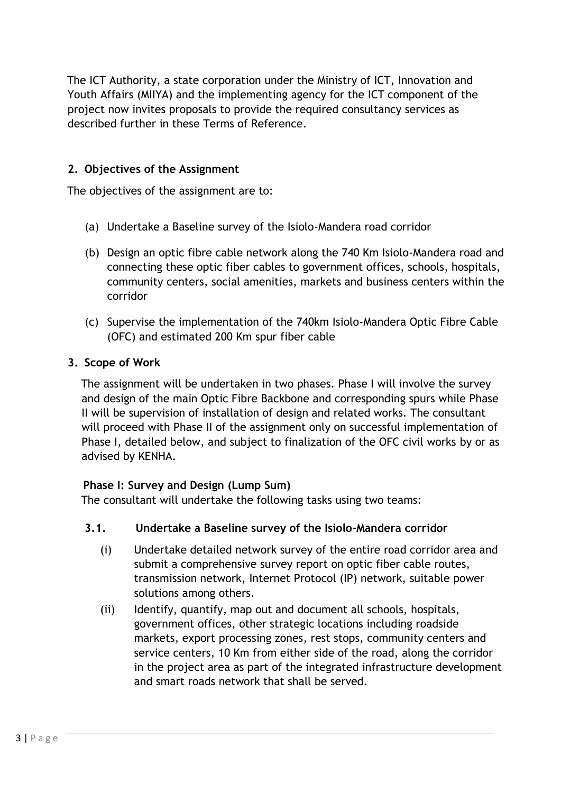The ICT Authority, a state corporation under the Ministry of ICT, Innovation and Youth Affairs (MIIYA) and the implementing agency for the ICT component of the project now invites proposals to provide the required consultancy services as described further in these Terms of Reference.

## **2. Objectives of the Assignment**

The objectives of the assignment are to:

- (a) Undertake a Baseline survey of the Isiolo-Mandera road corridor
- (b) Design an optic fibre cable network along the 740 Km Isiolo-Mandera road and connecting these optic fiber cables to government offices, schools, hospitals, community centers, social amenities, markets and business centers within the corridor
- (c) Supervise the implementation of the 740km Isiolo-Mandera Optic Fibre Cable (OFC) and estimated 200 Km spur fiber cable

#### **3. Scope of Work**

The assignment will be undertaken in two phases. Phase I will involve the survey and design of the main Optic Fibre Backbone and corresponding spurs while Phase II will be supervision of installation of design and related works. The consultant will proceed with Phase II of the assignment only on successful implementation of Phase I, detailed below, and subject to finalization of the OFC civil works by or as advised by KENHA.

#### **Phase I: Survey and Design (Lump Sum)**

The consultant will undertake the following tasks using two teams:

#### **3.1. Undertake a Baseline survey of the Isiolo-Mandera corridor**

- (i) Undertake detailed network survey of the entire road corridor area and submit a comprehensive survey report on optic fiber cable routes, transmission network, Internet Protocol (IP) network, suitable power solutions among others.
- (ii) Identify, quantify, map out and document all schools, hospitals, government offices, other strategic locations including roadside markets, export processing zones, rest stops, community centers and service centers, 10 Km from either side of the road, along the corridor in the project area as part of the integrated infrastructure development and smart roads network that shall be served.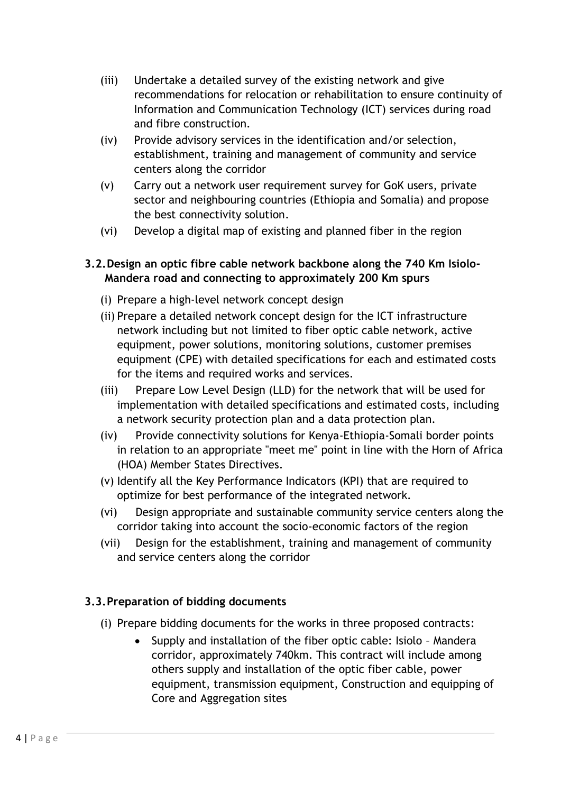- (iii) Undertake a detailed survey of the existing network and give recommendations for relocation or rehabilitation to ensure continuity of Information and Communication Technology (ICT) services during road and fibre construction.
- (iv) Provide advisory services in the identification and/or selection, establishment, training and management of community and service centers along the corridor
- (v) Carry out a network user requirement survey for GoK users, private sector and neighbouring countries (Ethiopia and Somalia) and propose the best connectivity solution.
- (vi) Develop a digital map of existing and planned fiber in the region

#### **3.2.Design an optic fibre cable network backbone along the 740 Km Isiolo-Mandera road and connecting to approximately 200 Km spurs**

- (i) Prepare a high-level network concept design
- (ii) Prepare a detailed network concept design for the ICT infrastructure network including but not limited to fiber optic cable network, active equipment, power solutions, monitoring solutions, customer premises equipment (CPE) with detailed specifications for each and estimated costs for the items and required works and services.
- (iii) Prepare Low Level Design (LLD) for the network that will be used for implementation with detailed specifications and estimated costs, including a network security protection plan and a data protection plan.
- (iv) Provide connectivity solutions for Kenya-Ethiopia-Somali border points in relation to an appropriate "meet me" point in line with the Horn of Africa (HOA) Member States Directives.
- (v) Identify all the Key Performance Indicators (KPI) that are required to optimize for best performance of the integrated network.
- (vi) Design appropriate and sustainable community service centers along the corridor taking into account the socio-economic factors of the region
- (vii) Design for the establishment, training and management of community and service centers along the corridor

## **3.3.Preparation of bidding documents**

- (i) Prepare bidding documents for the works in three proposed contracts:
	- Supply and installation of the fiber optic cable: Isiolo Mandera corridor, approximately 740km. This contract will include among others supply and installation of the optic fiber cable, power equipment, transmission equipment, Construction and equipping of Core and Aggregation sites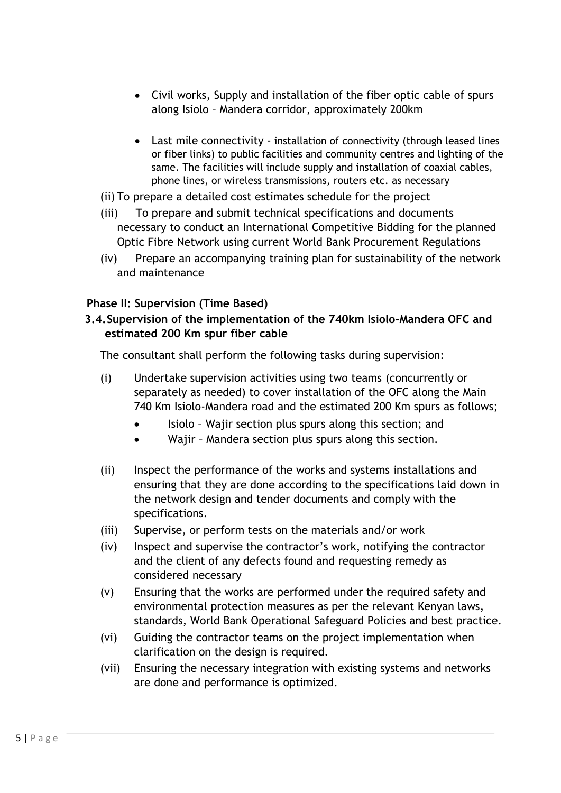- Civil works, Supply and installation of the fiber optic cable of spurs along Isiolo – Mandera corridor, approximately 200km
- Last mile connectivity installation of connectivity (through leased lines or fiber links) to public facilities and community centres and lighting of the same. The facilities will include supply and installation of coaxial cables, phone lines, or wireless transmissions, routers etc. as necessary
- (ii) To prepare a detailed cost estimates schedule for the project
- (iii) To prepare and submit technical specifications and documents necessary to conduct an International Competitive Bidding for the planned Optic Fibre Network using current World Bank Procurement Regulations
- (iv) Prepare an accompanying training plan for sustainability of the network and maintenance

#### **Phase II: Supervision (Time Based)**

#### **3.4.Supervision of the implementation of the 740km Isiolo-Mandera OFC and estimated 200 Km spur fiber cable**

The consultant shall perform the following tasks during supervision:

- (i) Undertake supervision activities using two teams (concurrently or separately as needed) to cover installation of the OFC along the Main 740 Km Isiolo-Mandera road and the estimated 200 Km spurs as follows;
	- Isiolo Wajir section plus spurs along this section; and
	- Wajir Mandera section plus spurs along this section.
- (ii) Inspect the performance of the works and systems installations and ensuring that they are done according to the specifications laid down in the network design and tender documents and comply with the specifications.
- (iii) Supervise, or perform tests on the materials and/or work
- (iv) Inspect and supervise the contractor's work, notifying the contractor and the client of any defects found and requesting remedy as considered necessary
- (v) Ensuring that the works are performed under the required safety and environmental protection measures as per the relevant Kenyan laws, standards, World Bank Operational Safeguard Policies and best practice.
- (vi) Guiding the contractor teams on the project implementation when clarification on the design is required.
- (vii) Ensuring the necessary integration with existing systems and networks are done and performance is optimized.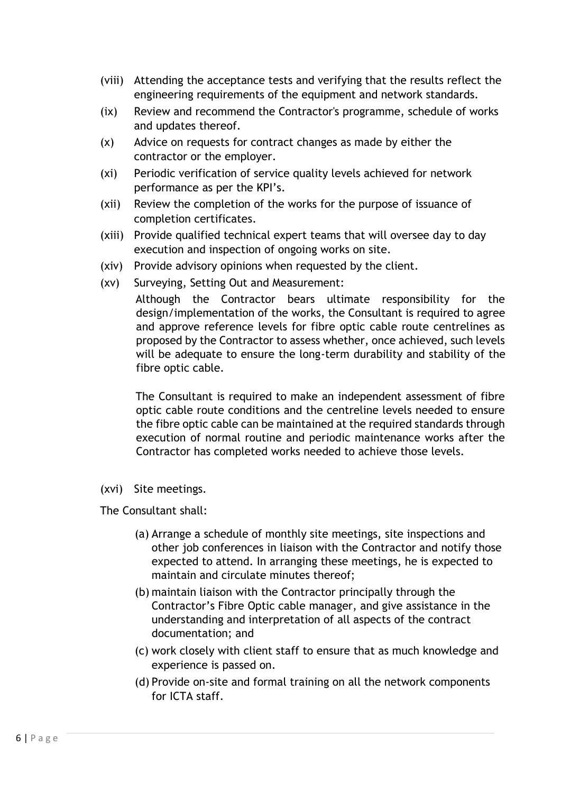- (viii) Attending the acceptance tests and verifying that the results reflect the engineering requirements of the equipment and network standards.
- (ix) Review and recommend the Contractor's programme, schedule of works and updates thereof.
- (x) Advice on requests for contract changes as made by either the contractor or the employer.
- (xi) Periodic verification of service quality levels achieved for network performance as per the KPI's.
- (xii) Review the completion of the works for the purpose of issuance of completion certificates.
- (xiii) Provide qualified technical expert teams that will oversee day to day execution and inspection of ongoing works on site.
- (xiv) Provide advisory opinions when requested by the client.
- (xv) Surveying, Setting Out and Measurement:

Although the Contractor bears ultimate responsibility for the design/implementation of the works, the Consultant is required to agree and approve reference levels for fibre optic cable route centrelines as proposed by the Contractor to assess whether, once achieved, such levels will be adequate to ensure the long-term durability and stability of the fibre optic cable.

The Consultant is required to make an independent assessment of fibre optic cable route conditions and the centreline levels needed to ensure the fibre optic cable can be maintained at the required standards through execution of normal routine and periodic maintenance works after the Contractor has completed works needed to achieve those levels.

(xvi) Site meetings.

The Consultant shall:

- (a) Arrange a schedule of monthly site meetings, site inspections and other job conferences in liaison with the Contractor and notify those expected to attend. In arranging these meetings, he is expected to maintain and circulate minutes thereof;
- (b) maintain liaison with the Contractor principally through the Contractor's Fibre Optic cable manager, and give assistance in the understanding and interpretation of all aspects of the contract documentation; and
- (c) work closely with client staff to ensure that as much knowledge and experience is passed on.
- (d) Provide on-site and formal training on all the network components for ICTA staff.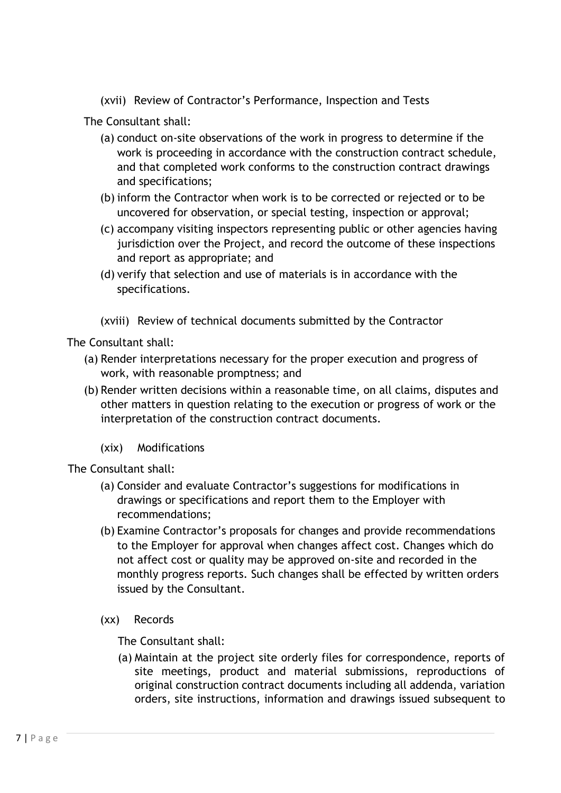(xvii) Review of Contractor's Performance, Inspection and Tests

The Consultant shall:

- (a) conduct on-site observations of the work in progress to determine if the work is proceeding in accordance with the construction contract schedule, and that completed work conforms to the construction contract drawings and specifications;
- (b) inform the Contractor when work is to be corrected or rejected or to be uncovered for observation, or special testing, inspection or approval;
- (c) accompany visiting inspectors representing public or other agencies having jurisdiction over the Project, and record the outcome of these inspections and report as appropriate; and
- (d) verify that selection and use of materials is in accordance with the specifications.
- (xviii) Review of technical documents submitted by the Contractor

The Consultant shall:

- (a) Render interpretations necessary for the proper execution and progress of work, with reasonable promptness; and
- (b) Render written decisions within a reasonable time, on all claims, disputes and other matters in question relating to the execution or progress of work or the interpretation of the construction contract documents.
	- (xix) Modifications

The Consultant shall:

- (a) Consider and evaluate Contractor's suggestions for modifications in drawings or specifications and report them to the Employer with recommendations;
- (b) Examine Contractor's proposals for changes and provide recommendations to the Employer for approval when changes affect cost. Changes which do not affect cost or quality may be approved on-site and recorded in the monthly progress reports. Such changes shall be effected by written orders issued by the Consultant.
- (xx) Records

The Consultant shall:

(a) Maintain at the project site orderly files for correspondence, reports of site meetings, product and material submissions, reproductions of original construction contract documents including all addenda, variation orders, site instructions, information and drawings issued subsequent to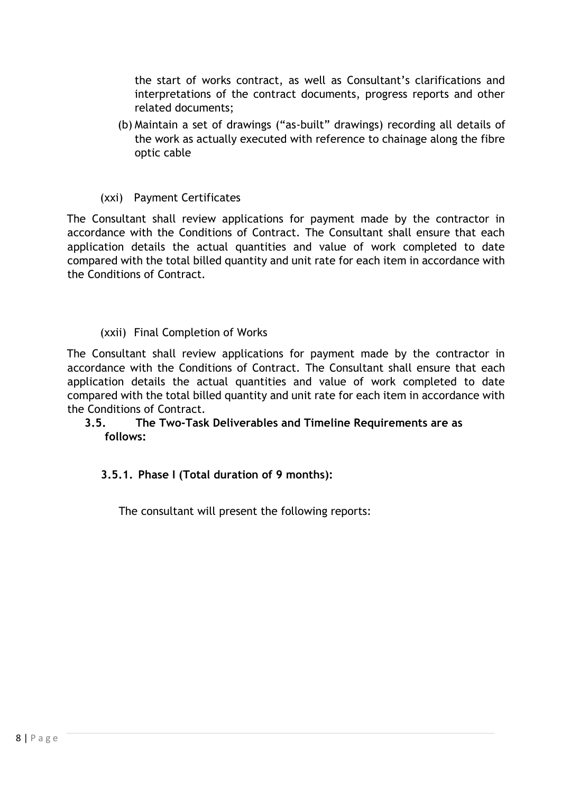the start of works contract, as well as Consultant's clarifications and interpretations of the contract documents, progress reports and other related documents;

(b) Maintain a set of drawings ("as-built" drawings) recording all details of the work as actually executed with reference to chainage along the fibre optic cable

#### (xxi) Payment Certificates

The Consultant shall review applications for payment made by the contractor in accordance with the Conditions of Contract. The Consultant shall ensure that each application details the actual quantities and value of work completed to date compared with the total billed quantity and unit rate for each item in accordance with the Conditions of Contract.

#### (xxii) Final Completion of Works

The Consultant shall review applications for payment made by the contractor in accordance with the Conditions of Contract. The Consultant shall ensure that each application details the actual quantities and value of work completed to date compared with the total billed quantity and unit rate for each item in accordance with the Conditions of Contract.

#### **3.5. The Two-Task Deliverables and Timeline Requirements are as follows:**

## **3.5.1. Phase I (Total duration of 9 months):**

The consultant will present the following reports: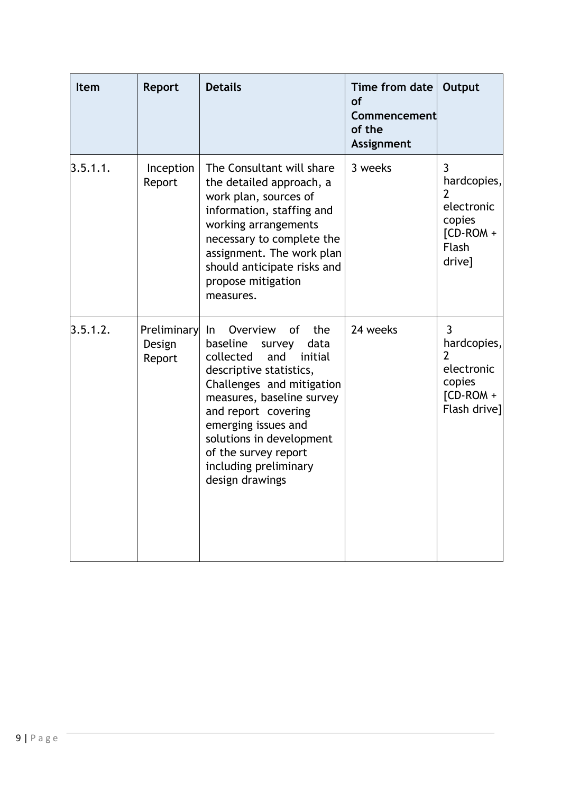| Item     | Report                                 | <b>Details</b>                                                                                                                                                                                                                                                                                                               | Time from date<br><b>of</b><br>Commencement<br>of the<br>Assignment | Output                                                                                 |
|----------|----------------------------------------|------------------------------------------------------------------------------------------------------------------------------------------------------------------------------------------------------------------------------------------------------------------------------------------------------------------------------|---------------------------------------------------------------------|----------------------------------------------------------------------------------------|
| 3.5.1.1. | Inception<br>Report                    | The Consultant will share<br>the detailed approach, a<br>work plan, sources of<br>information, staffing and<br>working arrangements<br>necessary to complete the<br>assignment. The work plan<br>should anticipate risks and<br>propose mitigation<br>measures.                                                              | 3 weeks                                                             | 3<br>hardcopies,<br>2<br>electronic<br>copies<br>$[CD-ROM +$<br><b>Flash</b><br>drive] |
| 3.5.1.2. | <b>Preliminary</b><br>Design<br>Report | the<br>In.<br>Overview<br>of<br>baseline<br>data<br>survey<br>collected<br>and<br>initial<br>descriptive statistics,<br>Challenges and mitigation<br>measures, baseline survey<br>and report covering<br>emerging issues and<br>solutions in development<br>of the survey report<br>including preliminary<br>design drawings | 24 weeks                                                            | 3<br>hardcopies,<br>2<br>electronic<br>copies<br>$[CD-ROM +$<br>Flash drive]           |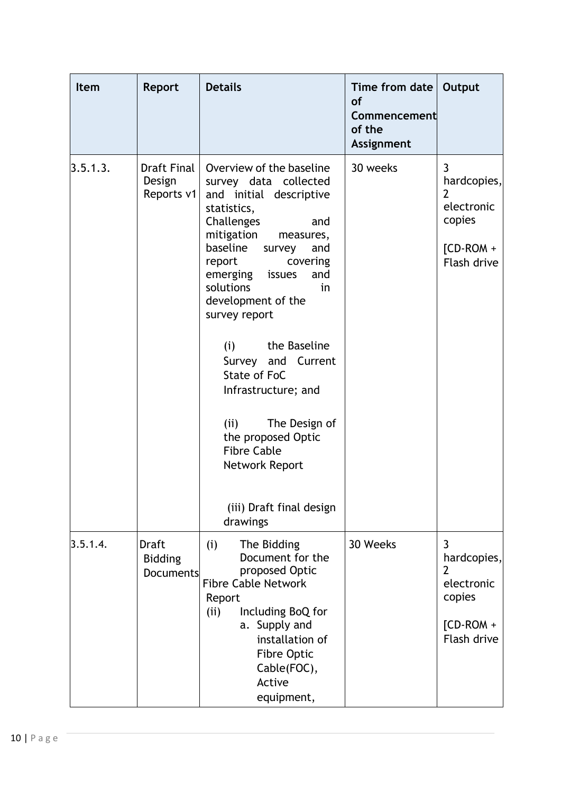| <b>Item</b> | <b>Report</b>                               | <b>Details</b>                                                                                                                                                                                                                                                                                                                                                                                                                                                                                        | Time from date   Output<br><b>of</b><br>Commencement<br>of the<br><b>Assignment</b> |                                                                                          |
|-------------|---------------------------------------------|-------------------------------------------------------------------------------------------------------------------------------------------------------------------------------------------------------------------------------------------------------------------------------------------------------------------------------------------------------------------------------------------------------------------------------------------------------------------------------------------------------|-------------------------------------------------------------------------------------|------------------------------------------------------------------------------------------|
| 3.5.1.3.    | Draft Final<br>Design<br>Reports v1         | Overview of the baseline<br>survey data collected<br>and initial descriptive<br>statistics,<br>Challenges<br>and<br>mitigation<br>measures,<br>baseline<br>and<br>survey<br>covering<br>report<br>emerging issues<br>and<br>solutions<br>in<br>development of the<br>survey report<br>the Baseline<br>(i)<br>Survey and Current<br>State of FoC<br>Infrastructure; and<br>(ii)<br>The Design of<br>the proposed Optic<br><b>Fibre Cable</b><br>Network Report<br>(iii) Draft final design<br>drawings | 30 weeks                                                                            | $\overline{3}$<br>hardcopies,<br>2<br>electronic<br>copies<br>$[CD-ROM +$<br>Flash drive |
| 3.5.1.4.    | Draft<br><b>Bidding</b><br><b>Documents</b> | (i)<br>The Bidding<br>Document for the<br>proposed Optic<br><b>Fibre Cable Network</b><br>Report<br>Including BoQ for<br>(i)<br>a. Supply and<br>installation of<br>Fibre Optic<br>Cable(FOC),<br>Active<br>equipment,                                                                                                                                                                                                                                                                                | 30 Weeks                                                                            | 3<br>hardcopies,<br>2<br>electronic<br>copies<br>$[CD-ROM +$<br>Flash drive              |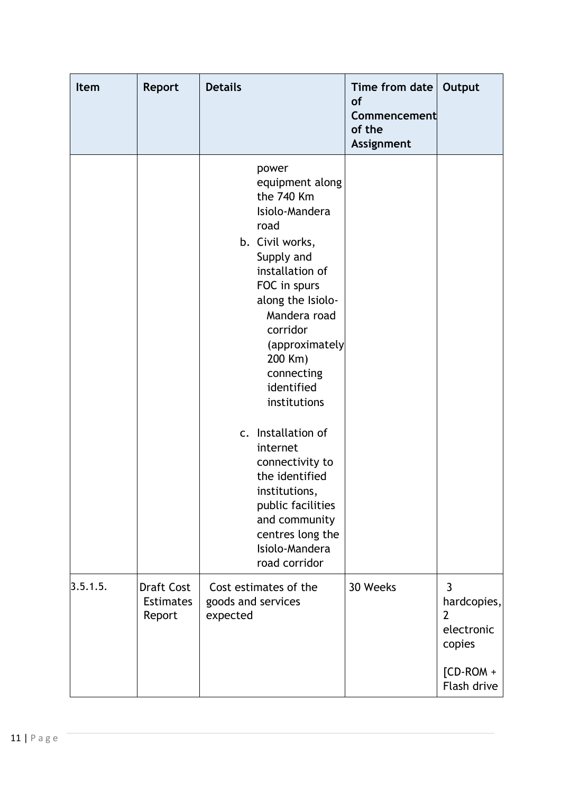| Item     | <b>Report</b>                                   | <b>Details</b>                                                                                                                                                                                                                                                                                                                                                                                                                                      | Time from date $ $<br><b>of</b><br>Commencement<br>of the<br>Assignment | Output                                                                                                |
|----------|-------------------------------------------------|-----------------------------------------------------------------------------------------------------------------------------------------------------------------------------------------------------------------------------------------------------------------------------------------------------------------------------------------------------------------------------------------------------------------------------------------------------|-------------------------------------------------------------------------|-------------------------------------------------------------------------------------------------------|
|          |                                                 | power<br>equipment along<br>the 740 Km<br>Isiolo-Mandera<br>road<br>b. Civil works,<br>Supply and<br>installation of<br>FOC in spurs<br>along the Isiolo-<br>Mandera road<br>corridor<br>(approximately<br>200 Km)<br>connecting<br>identified<br>institutions<br>c. Installation of<br>internet<br>connectivity to<br>the identified<br>institutions,<br>public facilities<br>and community<br>centres long the<br>Isiolo-Mandera<br>road corridor |                                                                         |                                                                                                       |
| 3.5.1.5. | <b>Draft Cost</b><br><b>Estimates</b><br>Report | Cost estimates of the<br>goods and services<br>expected                                                                                                                                                                                                                                                                                                                                                                                             | 30 Weeks                                                                | $\overline{3}$<br>hardcopies,<br>$\overline{2}$<br>electronic<br>copies<br>$[CD-ROM +$<br>Flash drive |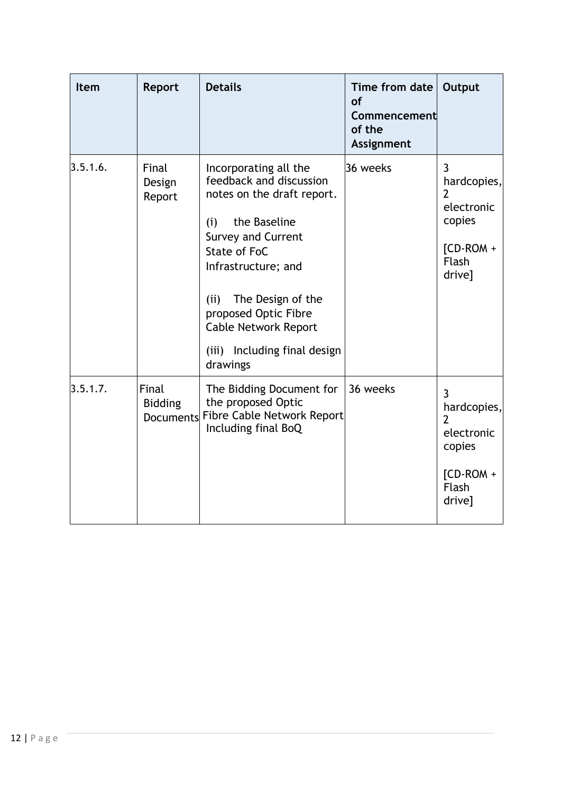| <b>Item</b> | Report                                      | <b>Details</b>                                                                                                                                                                                                                                                                                            | Time from date<br><b>of</b><br>Commencement<br>of the<br>Assignment | Output                                                                                              |
|-------------|---------------------------------------------|-----------------------------------------------------------------------------------------------------------------------------------------------------------------------------------------------------------------------------------------------------------------------------------------------------------|---------------------------------------------------------------------|-----------------------------------------------------------------------------------------------------|
| 3.5.1.6.    | Final<br>Design<br>Report                   | Incorporating all the<br>feedback and discussion<br>notes on the draft report.<br>the Baseline<br>(i)<br><b>Survey and Current</b><br>State of FoC<br>Infrastructure; and<br>The Design of the<br>(ii)<br>proposed Optic Fibre<br><b>Cable Network Report</b><br>(iii) Including final design<br>drawings | 36 weeks                                                            | 3<br>hardcopies,<br>2<br>electronic<br>copies<br>$ICD-ROM +$<br><b>Flash</b><br>drive]              |
| 3.5.1.7.    | Final<br><b>Bidding</b><br><b>Documents</b> | The Bidding Document for<br>the proposed Optic<br>Fibre Cable Network Report<br>Including final BoQ                                                                                                                                                                                                       | 36 weeks                                                            | 3<br>hardcopies,<br>$\overline{2}$<br>electronic<br>copies<br>$[CD-ROM +$<br><b>Flash</b><br>drive] |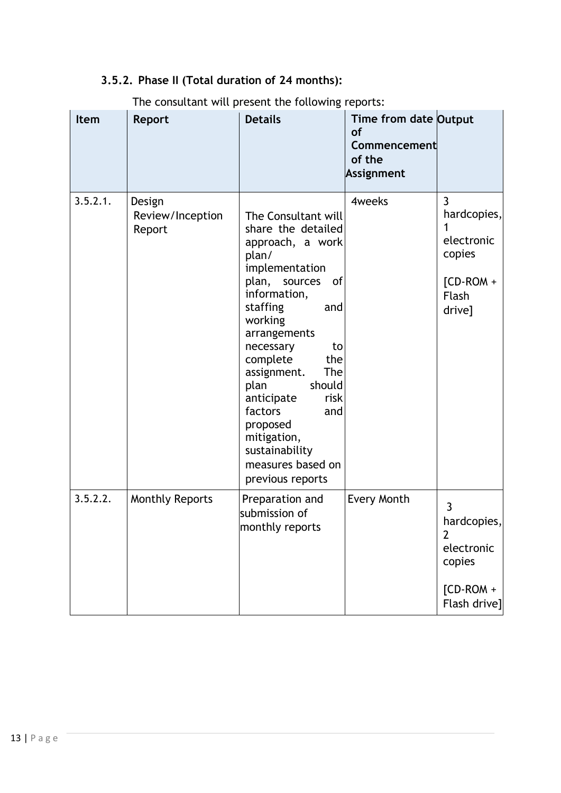# **3.5.2. Phase II (Total duration of 24 months):**

| <b>Item</b> | Report                               | $501154154115$ $11111$ $1111$ $1111$ $1111$ $1111$<br><b>Details</b>                                                                                                                                                                                                                                                                                                                      | Time from date Output<br><b>of</b><br>Commencement<br>of the<br>Assignment |                                                                                                        |
|-------------|--------------------------------------|-------------------------------------------------------------------------------------------------------------------------------------------------------------------------------------------------------------------------------------------------------------------------------------------------------------------------------------------------------------------------------------------|----------------------------------------------------------------------------|--------------------------------------------------------------------------------------------------------|
| 3.5.2.1.    | Design<br>Review/Inception<br>Report | The Consultant will<br>share the detailed<br>approach, a work<br>plan/<br>implementation<br>plan, sources<br>0f<br>information,<br>staffing<br>and<br>working<br>arrangements<br>necessary<br>to<br>complete<br>the<br>assignment.<br>The<br>plan<br>should<br>anticipate<br>risk<br>factors<br>and<br>proposed<br>mitigation,<br>sustainability<br>measures based on<br>previous reports | 4weeks                                                                     | $\overline{3}$<br>hardcopies,<br>electronic<br>copies<br>$[CD-ROM +$<br>Flash<br>drive]                |
| 3.5.2.2.    | <b>Monthly Reports</b>               | Preparation and<br>submission of<br>monthly reports                                                                                                                                                                                                                                                                                                                                       | Every Month                                                                | $\overline{3}$<br>hardcopies,<br>$\overline{2}$<br>electronic<br>copies<br>$[CD-ROM +$<br>Flash drive] |

# The consultant will present the following reports: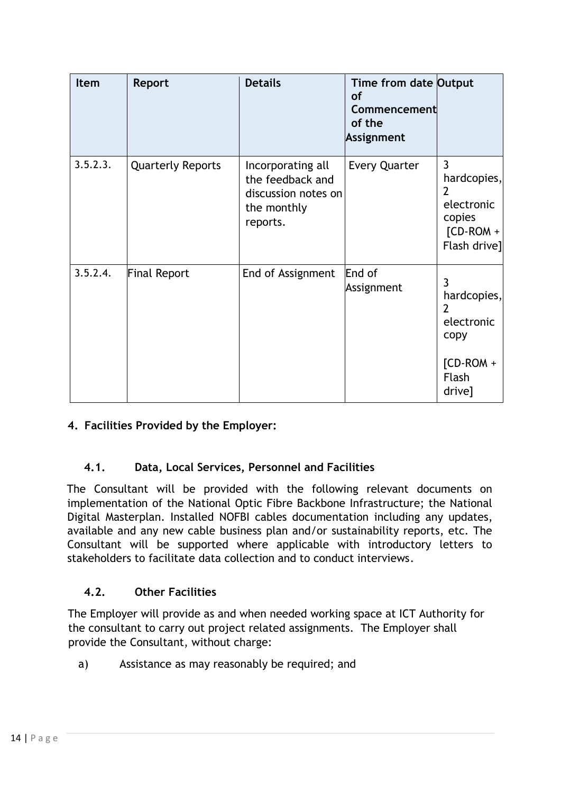| Item     | Report                   | <b>Details</b>                                                                          | Time from date Output<br><b>of</b><br>Commencement<br>of the<br>Assignment |                                                                                            |
|----------|--------------------------|-----------------------------------------------------------------------------------------|----------------------------------------------------------------------------|--------------------------------------------------------------------------------------------|
| 3.5.2.3. | <b>Quarterly Reports</b> | Incorporating all<br>the feedback and<br>discussion notes on<br>the monthly<br>reports. | <b>Every Quarter</b>                                                       | $\overline{3}$<br>hardcopies,<br>2<br>electronic<br>copies<br>$[CD-ROM +$<br>Flash drive]  |
| 3.5.2.4. | <b>Final Report</b>      | End of Assignment                                                                       | End of<br>Assignment                                                       | 3<br>hardcopies,<br>$\overline{2}$<br>electronic<br>copy<br>$[CD-ROM +$<br>Flash<br>drive] |

# **4. Facilities Provided by the Employer:**

## **4.1. Data, Local Services, Personnel and Facilities**

The Consultant will be provided with the following relevant documents on implementation of the National Optic Fibre Backbone Infrastructure; the National Digital Masterplan. Installed NOFBI cables documentation including any updates, available and any new cable business plan and/or sustainability reports, etc. The Consultant will be supported where applicable with introductory letters to stakeholders to facilitate data collection and to conduct interviews.

## **4.2. Other Facilities**

The Employer will provide as and when needed working space at ICT Authority for the consultant to carry out project related assignments. The Employer shall provide the Consultant, without charge:

a) Assistance as may reasonably be required; and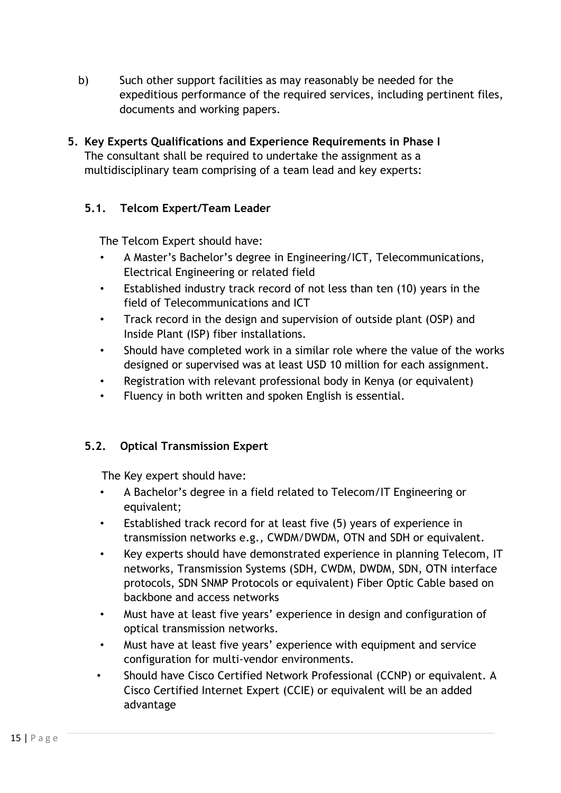- b) Such other support facilities as may reasonably be needed for the expeditious performance of the required services, including pertinent files, documents and working papers.
- **5. Key Experts Qualifications and Experience Requirements in Phase I**  The consultant shall be required to undertake the assignment as a multidisciplinary team comprising of a team lead and key experts:

## **5.1. Telcom Expert/Team Leader**

The Telcom Expert should have:

- A Master's Bachelor's degree in Engineering/ICT, Telecommunications, Electrical Engineering or related field
- Established industry track record of not less than ten (10) years in the field of Telecommunications and ICT
- Track record in the design and supervision of outside plant (OSP) and Inside Plant (ISP) fiber installations.
- Should have completed work in a similar role where the value of the works designed or supervised was at least USD 10 million for each assignment.
- Registration with relevant professional body in Kenya (or equivalent)
- Fluency in both written and spoken English is essential.

## **5.2. Optical Transmission Expert**

The Key expert should have:

- A Bachelor's degree in a field related to Telecom/IT Engineering or equivalent;
- Established track record for at least five (5) years of experience in transmission networks e.g., CWDM/DWDM, OTN and SDH or equivalent.
- Key experts should have demonstrated experience in planning Telecom, IT networks, Transmission Systems (SDH, CWDM, DWDM, SDN, OTN interface protocols, SDN SNMP Protocols or equivalent) Fiber Optic Cable based on backbone and access networks
- Must have at least five years' experience in design and configuration of optical transmission networks.
- Must have at least five years' experience with equipment and service configuration for multi-vendor environments.
- Should have Cisco Certified Network Professional (CCNP) or equivalent. A Cisco Certified Internet Expert (CCIE) or equivalent will be an added advantage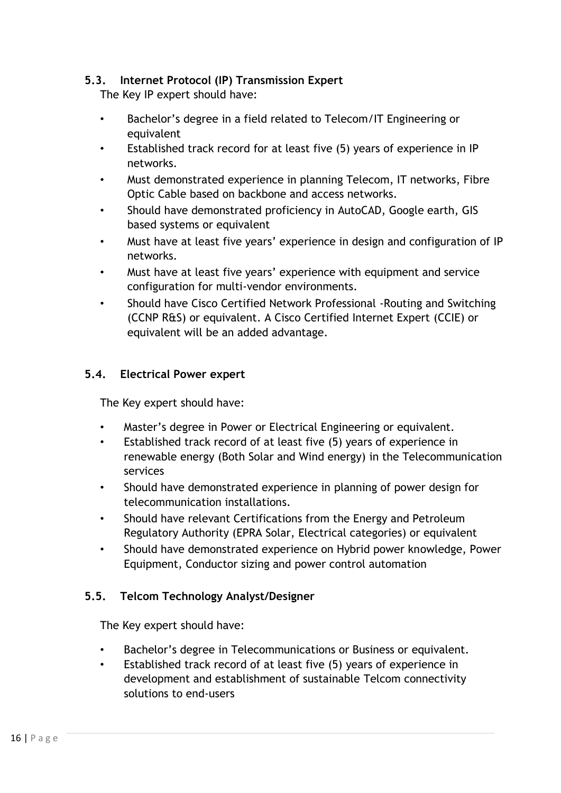## **5.3. Internet Protocol (IP) Transmission Expert**

The Key IP expert should have:

- Bachelor's degree in a field related to Telecom/IT Engineering or equivalent
- Established track record for at least five (5) years of experience in IP networks.
- Must demonstrated experience in planning Telecom, IT networks, Fibre Optic Cable based on backbone and access networks.
- Should have demonstrated proficiency in AutoCAD, Google earth, GIS based systems or equivalent
- Must have at least five years' experience in design and configuration of IP networks.
- Must have at least five years' experience with equipment and service configuration for multi-vendor environments.
- Should have Cisco Certified Network Professional -Routing and Switching (CCNP R&S) or equivalent. A Cisco Certified Internet Expert (CCIE) or equivalent will be an added advantage.

## **5.4. Electrical Power expert**

The Key expert should have:

- Master's degree in Power or Electrical Engineering or equivalent.
- Established track record of at least five (5) years of experience in renewable energy (Both Solar and Wind energy) in the Telecommunication services
- Should have demonstrated experience in planning of power design for telecommunication installations.
- Should have relevant Certifications from the Energy and Petroleum Regulatory Authority (EPRA Solar, Electrical categories) or equivalent
- Should have demonstrated experience on Hybrid power knowledge, Power Equipment, Conductor sizing and power control automation

#### **5.5. Telcom Technology Analyst/Designer**

The Key expert should have:

- Bachelor's degree in Telecommunications or Business or equivalent.
- Established track record of at least five (5) years of experience in development and establishment of sustainable Telcom connectivity solutions to end-users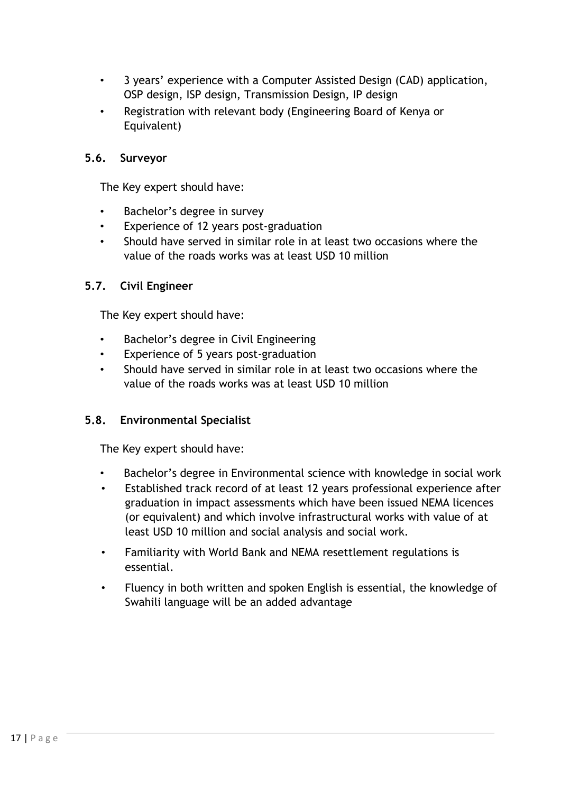- 3 years' experience with a Computer Assisted Design (CAD) application, OSP design, ISP design, Transmission Design, IP design
- Registration with relevant body (Engineering Board of Kenya or Equivalent)

## **5.6. Surveyor**

The Key expert should have:

- Bachelor's degree in survey
- Experience of 12 years post-graduation
- Should have served in similar role in at least two occasions where the value of the roads works was at least USD 10 million

#### **5.7. Civil Engineer**

The Key expert should have:

- Bachelor's degree in Civil Engineering
- Experience of 5 years post-graduation
- Should have served in similar role in at least two occasions where the value of the roads works was at least USD 10 million

## **5.8. Environmental Specialist**

The Key expert should have:

- Bachelor's degree in Environmental science with knowledge in social work
- Established track record of at least 12 years professional experience after graduation in impact assessments which have been issued NEMA licences (or equivalent) and which involve infrastructural works with value of at least USD 10 million and social analysis and social work.
- Familiarity with World Bank and NEMA resettlement regulations is essential.
- Fluency in both written and spoken English is essential, the knowledge of Swahili language will be an added advantage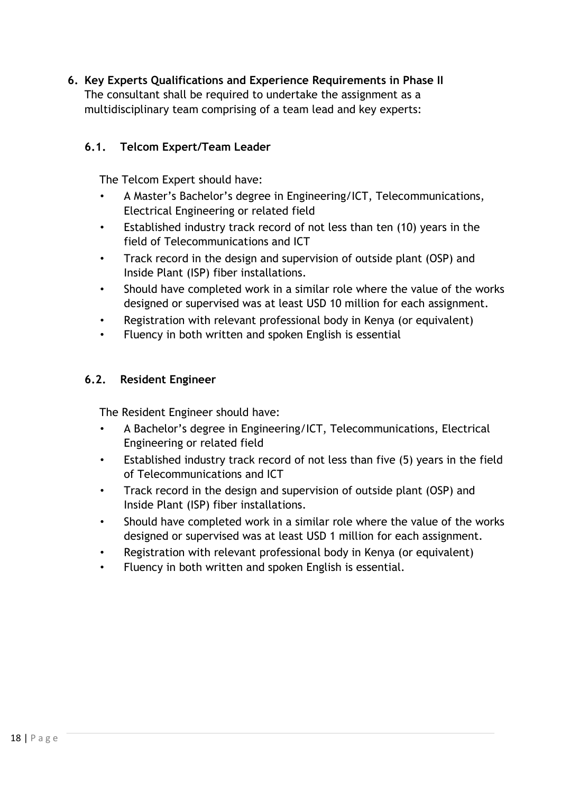**6. Key Experts Qualifications and Experience Requirements in Phase II**  The consultant shall be required to undertake the assignment as a multidisciplinary team comprising of a team lead and key experts:

## **6.1. Telcom Expert/Team Leader**

The Telcom Expert should have:

- A Master's Bachelor's degree in Engineering/ICT, Telecommunications, Electrical Engineering or related field
- Established industry track record of not less than ten (10) years in the field of Telecommunications and ICT
- Track record in the design and supervision of outside plant (OSP) and Inside Plant (ISP) fiber installations.
- Should have completed work in a similar role where the value of the works designed or supervised was at least USD 10 million for each assignment.
- Registration with relevant professional body in Kenya (or equivalent)
- Fluency in both written and spoken English is essential

#### **6.2. Resident Engineer**

The Resident Engineer should have:

- A Bachelor's degree in Engineering/ICT, Telecommunications, Electrical Engineering or related field
- Established industry track record of not less than five (5) years in the field of Telecommunications and ICT
- Track record in the design and supervision of outside plant (OSP) and Inside Plant (ISP) fiber installations.
- Should have completed work in a similar role where the value of the works designed or supervised was at least USD 1 million for each assignment.
- Registration with relevant professional body in Kenya (or equivalent)
- Fluency in both written and spoken English is essential.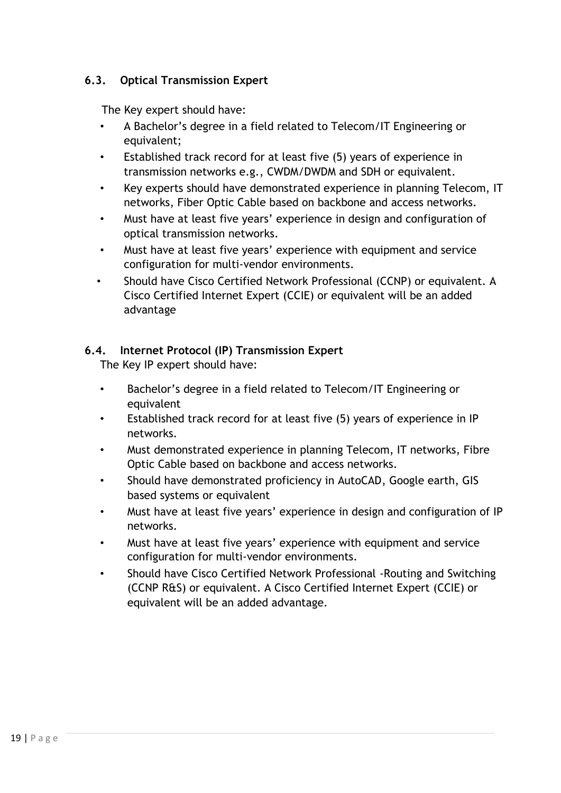## **6.3. Optical Transmission Expert**

The Key expert should have:

- A Bachelor's degree in a field related to Telecom/IT Engineering or equivalent;
- Established track record for at least five (5) years of experience in transmission networks e.g., CWDM/DWDM and SDH or equivalent.
- Key experts should have demonstrated experience in planning Telecom, IT networks, Fiber Optic Cable based on backbone and access networks.
- Must have at least five years' experience in design and configuration of optical transmission networks.
- Must have at least five years' experience with equipment and service configuration for multi-vendor environments.
- Should have Cisco Certified Network Professional (CCNP) or equivalent. A Cisco Certified Internet Expert (CCIE) or equivalent will be an added advantage

## **6.4. Internet Protocol (IP) Transmission Expert**

The Key IP expert should have:

- Bachelor's degree in a field related to Telecom/IT Engineering or equivalent
- Established track record for at least five (5) years of experience in IP networks.
- Must demonstrated experience in planning Telecom, IT networks, Fibre Optic Cable based on backbone and access networks.
- Should have demonstrated proficiency in AutoCAD, Google earth, GIS based systems or equivalent
- Must have at least five years' experience in design and configuration of IP networks.
- Must have at least five years' experience with equipment and service configuration for multi-vendor environments.
- Should have Cisco Certified Network Professional -Routing and Switching (CCNP R&S) or equivalent. A Cisco Certified Internet Expert (CCIE) or equivalent will be an added advantage.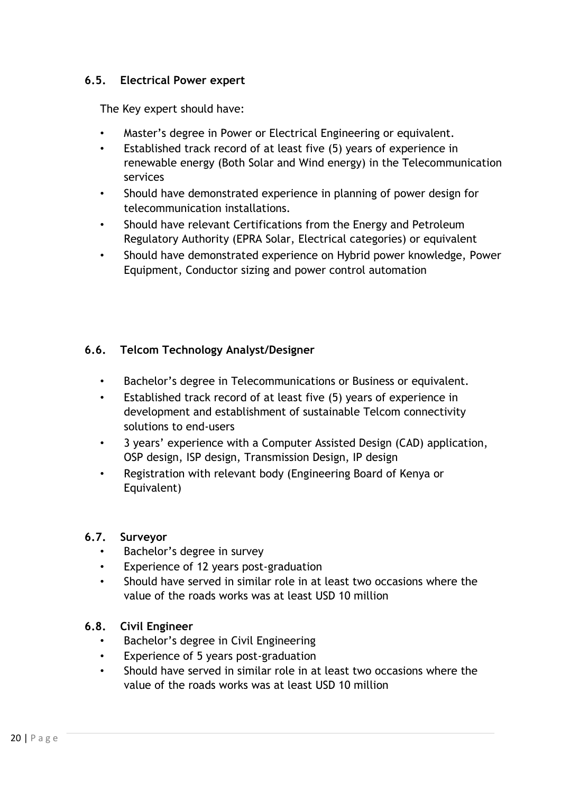### **6.5. Electrical Power expert**

The Key expert should have:

- Master's degree in Power or Electrical Engineering or equivalent.
- Established track record of at least five (5) years of experience in renewable energy (Both Solar and Wind energy) in the Telecommunication services
- Should have demonstrated experience in planning of power design for telecommunication installations.
- Should have relevant Certifications from the Energy and Petroleum Regulatory Authority (EPRA Solar, Electrical categories) or equivalent
- Should have demonstrated experience on Hybrid power knowledge, Power Equipment, Conductor sizing and power control automation

## **6.6. Telcom Technology Analyst/Designer**

- Bachelor's degree in Telecommunications or Business or equivalent.
- Established track record of at least five (5) years of experience in development and establishment of sustainable Telcom connectivity solutions to end-users
- 3 years' experience with a Computer Assisted Design (CAD) application, OSP design, ISP design, Transmission Design, IP design
- Registration with relevant body (Engineering Board of Kenya or Equivalent)

#### **6.7. Surveyor**

- Bachelor's degree in survey
- Experience of 12 years post-graduation
- Should have served in similar role in at least two occasions where the value of the roads works was at least USD 10 million

#### **6.8. Civil Engineer**

- Bachelor's degree in Civil Engineering
- Experience of 5 years post-graduation
- Should have served in similar role in at least two occasions where the value of the roads works was at least USD 10 million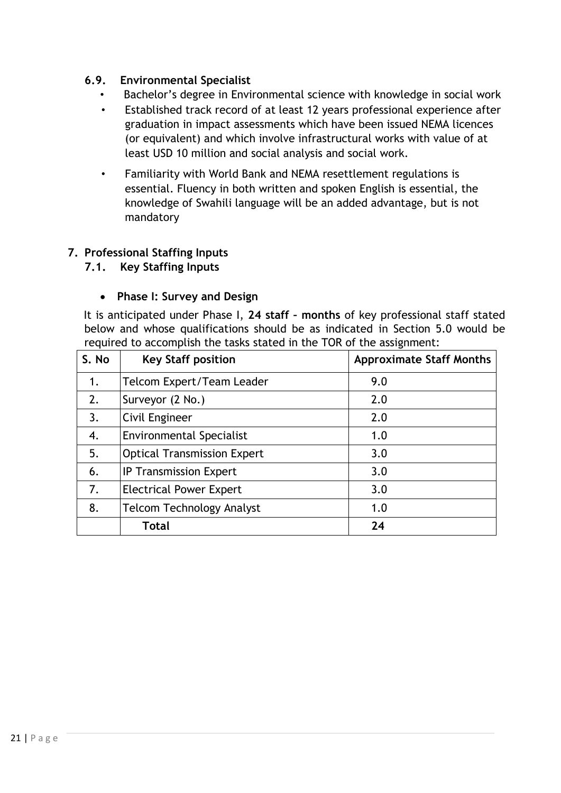### **6.9. Environmental Specialist**

- Bachelor's degree in Environmental science with knowledge in social work
- Established track record of at least 12 years professional experience after graduation in impact assessments which have been issued NEMA licences (or equivalent) and which involve infrastructural works with value of at least USD 10 million and social analysis and social work.
- Familiarity with World Bank and NEMA resettlement regulations is essential. Fluency in both written and spoken English is essential, the knowledge of Swahili language will be an added advantage, but is not mandatory

#### **7. Professional Staffing Inputs**

#### **7.1. Key Staffing Inputs**

#### • **Phase I: Survey and Design**

It is anticipated under Phase I, **24 staff – months** of key professional staff stated below and whose qualifications should be as indicated in Section 5.0 would be required to accomplish the tasks stated in the TOR of the assignment:

| S. No | <b>Key Staff position</b>          | <b>Approximate Staff Months</b> |
|-------|------------------------------------|---------------------------------|
| 1.    | Telcom Expert/Team Leader          | 9.0                             |
| 2.    | Surveyor (2 No.)                   | 2.0                             |
| 3.    | Civil Engineer                     | 2.0                             |
| 4.    | <b>Environmental Specialist</b>    | 1.0                             |
| 5.    | <b>Optical Transmission Expert</b> | 3.0                             |
| 6.    | <b>IP Transmission Expert</b>      | 3.0                             |
| 7.    | <b>Electrical Power Expert</b>     | 3.0                             |
| 8.    | <b>Telcom Technology Analyst</b>   | 1.0                             |
|       | Total                              | 24                              |